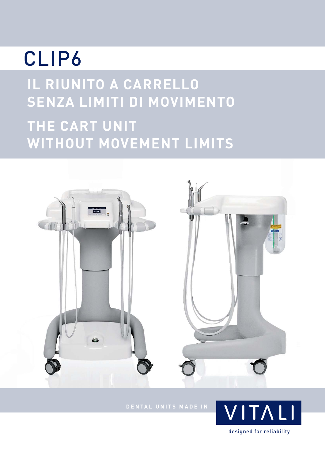# CLIP6

**IL RIUNITO A CARRELLO SENZA LIMITI DI MOVIMENTO**

### **THE CART UNIT WITHOUT MOVEMENT LIMITS**



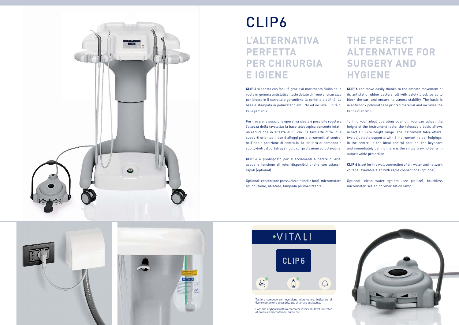

## CLIP6 **L'ALTERNATIVA PERFETTA PER CHIRURGIA E IGIENE**

**CLIP 6** si sposta con facilità grazie al movimento fluido delle ruote in gomma antistatica, tutte dotate di freno di sicurezza per bloccare il carrello e garantirne la perfetta stabilità. La base è stampata in poliuretano antiurto ed include l'unità di collegamento.

Per trovare la posizione operativa ideale è possibile regolare l'altezza della tavoletta; la base telescopica consente infatti un'escursione in altezza di 13 cm. La tavoletta offre: due supporti orientabili con 6 alloggi porta strumenti, al centro, nell'ideale posizione di controllo, la tastiera di comando e subito dietro il portatray singolo con protezione autoclavabile.

**CLIP 6** è predisposto per allacciamenti a parete di aria, acqua e tensione di rete; disponibili anche con attacchi rapidi (optional).

### **THE PERFECT ALTERNATIVE FOR SURGERY AND HYGIENE**

**CLIP 6** can move easily thanks to the smooth movement of its antistatic rubber castors, all with safety block so as to block the cart and ensure its utmost stability. The basis is in antishock polyurethane printed material and includes the connection unit.

Optional: contenitore pressurizzato (nella foto), micromotore ad induzione, ablatore, lampada polimerizzante. Optional: clean water system (see picture), brushless micromotor, scaler, polymerization lamp.







To find your ideal operating position, you can adjust the height of the instrument table; the telescopic basis allows in fact a 13 cm height range. The instrument table offers: two adjustable supports with 6 instrument holder lodgings, in the centre, in the ideal control position, the keyboard and immediately behind there is the single tray-holder with autoclavable protection.

**CLIP 6** is set for the wall connection of air, water and network voltage; available also with rapid connections (optional).



Tastiera comando con inversione micromotore, indicatore di livello contenitore pressurizzato, chiamata assistente.

Controls keyboard with micromotor inversion, level indicator of pressurized container, nurse call.